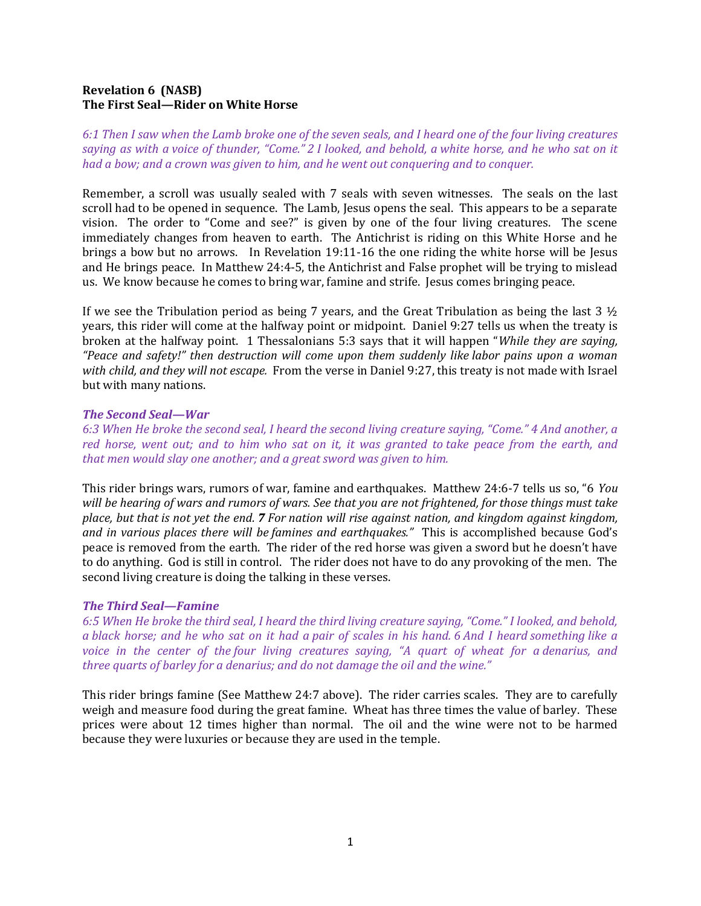# Revelation 6 (NASB) The First Seal—Rider on White Horse

6:1 Then I saw when the Lamb broke one of the seven seals, and I heard one of the four living creatures saying as with a voice of thunder, "Come." 2 I looked, and behold, a white horse, and he who sat on it had a bow; and a crown was given to him, and he went out conquering and to conquer.

Remember, a scroll was usually sealed with 7 seals with seven witnesses. The seals on the last scroll had to be opened in sequence. The Lamb, Jesus opens the seal. This appears to be a separate vision. The order to "Come and see?" is given by one of the four living creatures. The scene immediately changes from heaven to earth. The Antichrist is riding on this White Horse and he brings a bow but no arrows. In Revelation 19:11-16 the one riding the white horse will be Jesus and He brings peace. In Matthew 24:4-5, the Antichrist and False prophet will be trying to mislead us. We know because he comes to bring war, famine and strife. Jesus comes bringing peace.

If we see the Tribulation period as being 7 years, and the Great Tribulation as being the last 3  $\frac{1}{2}$ years, this rider will come at the halfway point or midpoint. Daniel 9:27 tells us when the treaty is broken at the halfway point. 1 Thessalonians 5:3 says that it will happen "While they are saying, "Peace and safety!" then destruction will come upon them suddenly like labor pains upon a woman with child, and they will not escape. From the verse in Daniel 9:27, this treaty is not made with Israel but with many nations.

## The Second Seal—War

6:3 When He broke the second seal, I heard the second living creature saying, "Come." 4 And another, a red horse, went out; and to him who sat on it, it was granted to take peace from the earth, and that men would slay one another; and a great sword was given to him.

This rider brings wars, rumors of war, famine and earthquakes. Matthew 24:6-7 tells us so, "6 You will be hearing of wars and rumors of wars. See that you are not frightened, for those things must take place, but that is not yet the end. 7 For nation will rise against nation, and kingdom against kingdom, and in various places there will be famines and earthquakes." This is accomplished because God's peace is removed from the earth. The rider of the red horse was given a sword but he doesn't have to do anything. God is still in control. The rider does not have to do any provoking of the men. The second living creature is doing the talking in these verses.

#### The Third Seal—Famine

6:5 When He broke the third seal, I heard the third living creature saying, "Come." I looked, and behold, a black horse; and he who sat on it had a pair of scales in his hand. 6 And I heard something like a voice in the center of the four living creatures saying, "A quart of wheat for a denarius, and three quarts of barley for a denarius; and do not damage the oil and the wine."

This rider brings famine (See Matthew 24:7 above). The rider carries scales. They are to carefully weigh and measure food during the great famine. Wheat has three times the value of barley. These prices were about 12 times higher than normal. The oil and the wine were not to be harmed because they were luxuries or because they are used in the temple.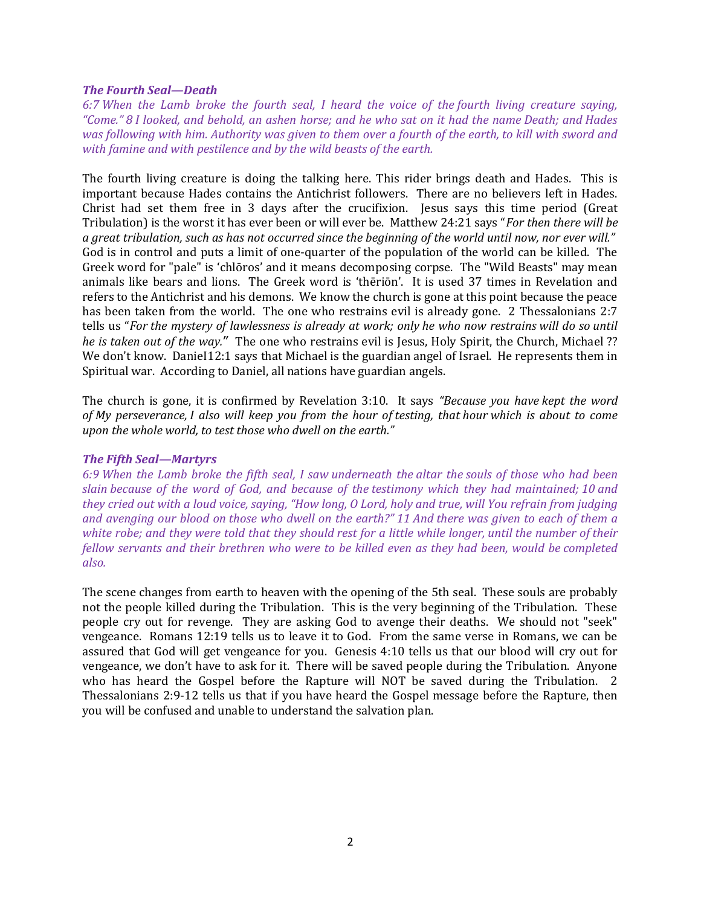### The Fourth Seal—Death

6:7 When the Lamb broke the fourth seal, I heard the voice of the fourth living creature saying, "Come." 8 I looked, and behold, an ashen horse; and he who sat on it had the name Death; and Hades was following with him. Authority was given to them over a fourth of the earth, to kill with sword and with famine and with pestilence and by the wild beasts of the earth.

The fourth living creature is doing the talking here. This rider brings death and Hades. This is important because Hades contains the Antichrist followers. There are no believers left in Hades. Christ had set them free in 3 days after the crucifixion. Jesus says this time period (Great Tribulation) is the worst it has ever been or will ever be. Matthew 24:21 says "For then there will be a great tribulation, such as has not occurred since the beginning of the world until now, nor ever will." God is in control and puts a limit of one-quarter of the population of the world can be killed. The Greek word for "pale" is 'chlōros' and it means decomposing corpse. The "Wild Beasts" may mean animals like bears and lions. The Greek word is 'thēriōn'. It is used 37 times in Revelation and refers to the Antichrist and his demons. We know the church is gone at this point because the peace has been taken from the world. The one who restrains evil is already gone. 2 Thessalonians 2:7 tells us "For the mystery of lawlessness is already at work; only he who now restrains will do so until he is taken out of the way." The one who restrains evil is Jesus, Holy Spirit, the Church, Michael ?? We don't know. DanieI12:1 says that Michael is the guardian angel of Israel. He represents them in Spiritual war. According to Daniel, all nations have guardian angels.

The church is gone, it is confirmed by Revelation 3:10. It says "Because you have kept the word of My perseverance, I also will keep you from the hour of testing, that hour which is about to come upon the whole world, to test those who dwell on the earth."

## The Fifth Seal—Martyrs

6:9 When the Lamb broke the fifth seal, I saw underneath the altar the souls of those who had been slain because of the word of God, and because of the testimony which they had maintained; 10 and they cried out with a loud voice, saying, "How long, O Lord, holy and true, will You refrain from judging and avenging our blood on those who dwell on the earth?" 11 And there was given to each of them a white robe; and they were told that they should rest for a little while longer, until the number of their fellow servants and their brethren who were to be killed even as they had been, would be completed also.

The scene changes from earth to heaven with the opening of the 5th seal. These souls are probably not the people killed during the Tribulation. This is the very beginning of the Tribulation. These people cry out for revenge. They are asking God to avenge their deaths. We should not "seek" vengeance. Romans 12:19 tells us to leave it to God. From the same verse in Romans, we can be assured that God will get vengeance for you. Genesis 4:10 tells us that our blood will cry out for vengeance, we don't have to ask for it. There will be saved people during the Tribulation. Anyone who has heard the Gospel before the Rapture will NOT be saved during the Tribulation. 2 Thessalonians 2:9-12 tells us that if you have heard the Gospel message before the Rapture, then you will be confused and unable to understand the salvation plan.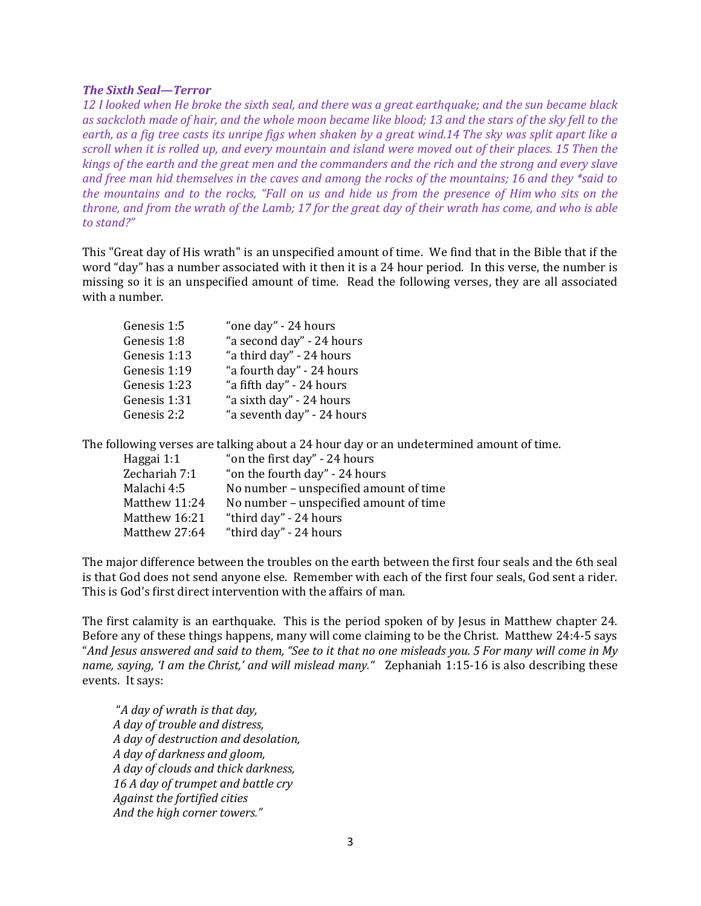#### The Sixth Seal—Terror

12 I looked when He broke the sixth seal, and there was a great earthquake; and the sun became black as sackcloth made of hair, and the whole moon became like blood; 13 and the stars of the sky fell to the earth, as a fig tree casts its unripe figs when shaken by a great wind.14 The sky was split apart like a scroll when it is rolled up, and every mountain and island were moved out of their places. 15 Then the kings of the earth and the great men and the commanders and the rich and the strong and every slave and free man hid themselves in the caves and among the rocks of the mountains; 16 and they \*said to the mountains and to the rocks, "Fall on us and hide us from the presence of Him who sits on the throne, and from the wrath of the Lamb; 17 for the great day of their wrath has come, and who is able to stand?"

This "Great day of His wrath" is an unspecified amount of time. We find that in the Bible that if the word "day" has a number associated with it then it is a 24 hour period. In this verse, the number is missing so it is an unspecified amount of time. Read the following verses, they are all associated with a number.

| Genesis 1:5  | "one day" - 24 hours       |
|--------------|----------------------------|
| Genesis 1:8  | "a second day" - 24 hours  |
| Genesis 1:13 | "a third day" - 24 hours   |
| Genesis 1:19 | "a fourth day" - 24 hours  |
| Genesis 1:23 | "a fifth day" - 24 hours   |
| Genesis 1:31 | "a sixth day" - 24 hours   |
| Genesis 2:2  | "a seventh day" - 24 hours |

The following verses are talking about a 24 hour day or an undetermined amount of time.

| Haggai 1:1    | "on the first day" - 24 hours          |
|---------------|----------------------------------------|
| Zechariah 7:1 | "on the fourth day" - 24 hours         |
| Malachi 4:5   | No number - unspecified amount of time |
| Matthew 11:24 | No number - unspecified amount of time |
| Matthew 16:21 | "third day" - 24 hours                 |
| Matthew 27:64 | "third day" - 24 hours                 |

The major difference between the troubles on the earth between the first four seals and the 6th seal is that God does not send anyone else. Remember with each of the first four seals, God sent a rider. This is God's first direct intervention with the affairs of man.

The first calamity is an earthquake. This is the period spoken of by Jesus in Matthew chapter 24. Before any of these things happens, many will come claiming to be the Christ. Matthew 24:4-5 says "And Jesus answered and said to them, "See to it that no one misleads you. 5 For many will come in My name, saying, 'I am the Christ,' and will mislead many." Zephaniah 1:15-16 is also describing these events. It says:

 "A day of wrath is that day, A day of trouble and distress, A day of destruction and desolation, A day of darkness and gloom, A day of clouds and thick darkness, 16 A day of trumpet and battle cry Against the fortified cities And the high corner towers."